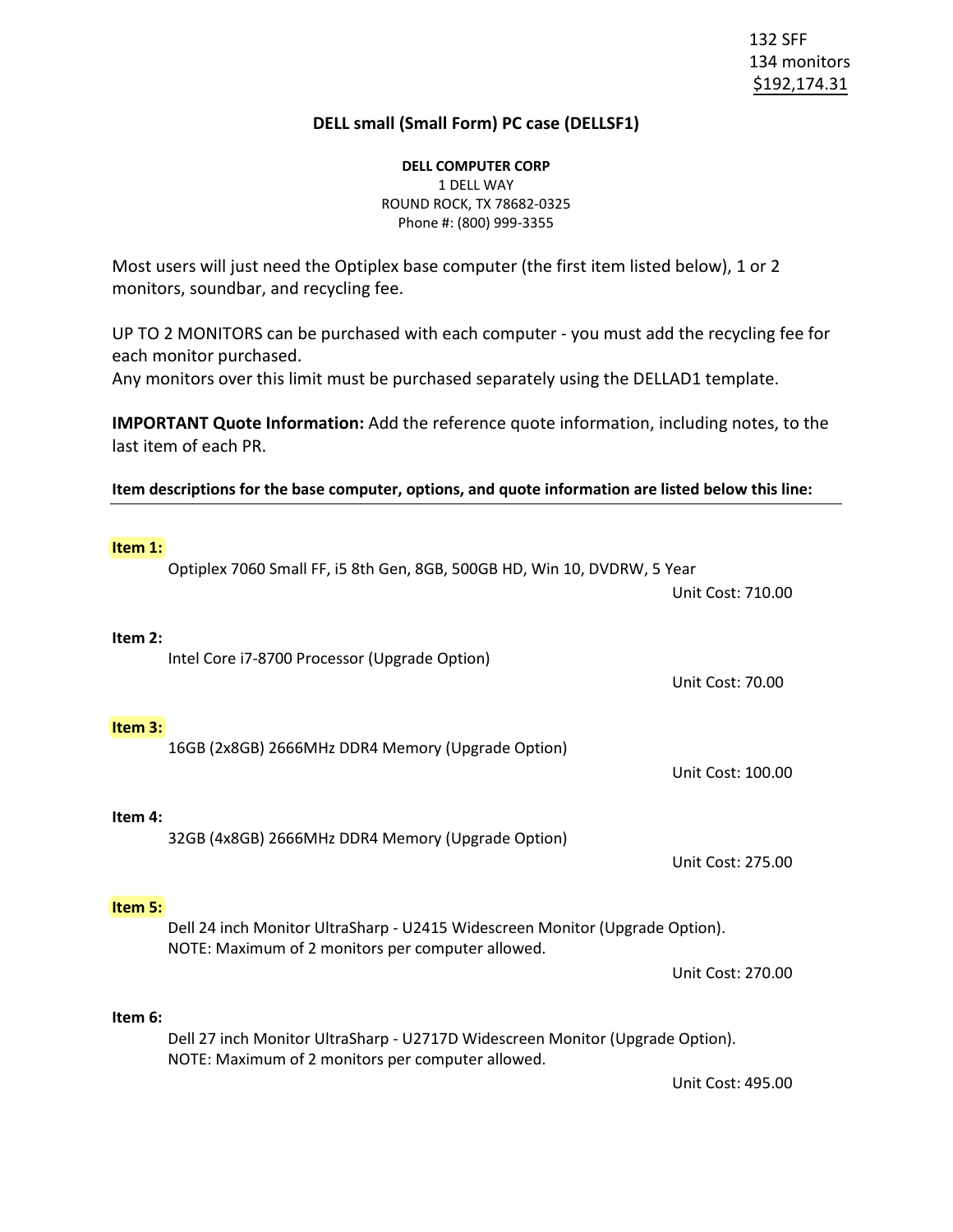132 SFF 134 monitors \$192,174.31

## **DELL small (Small Form) PC case (DELLSF1)**

**DELL COMPUTER CORP** 1 DELL WAY ROUND ROCK, TX 78682-0325 Phone #: (800) 999-3355

Most users will just need the Optiplex base computer (the first item listed below), 1 or 2 monitors, soundbar, and recycling fee.

UP TO 2 MONITORS can be purchased with each computer - you must add the recycling fee for each monitor purchased.

Any monitors over this limit must be purchased separately using the DELLAD1 template.

**IMPORTANT Quote Information:** Add the reference quote information, including notes, to the last item of each PR.

**Item descriptions for the base computer, options, and quote information are listed below this line:**

## **Item 1:** Optiplex 7060 Small FF, i5 8th Gen, 8GB, 500GB HD, Win 10, DVDRW, 5 Year Unit Cost: 710.00 **Item 2:** Intel Core i7-8700 Processor (Upgrade Option) Unit Cost: 70.00 **Item 3:** 16GB (2x8GB) 2666MHz DDR4 Memory (Upgrade Option) Unit Cost: 100.00 **Item 4:** 32GB (4x8GB) 2666MHz DDR4 Memory (Upgrade Option) Unit Cost: 275.00 **Item 5:** Dell 24 inch Monitor UltraSharp - U2415 Widescreen Monitor (Upgrade Option). NOTE: Maximum of 2 monitors per computer allowed. Unit Cost: 270.00 **Item 6:** Dell 27 inch Monitor UltraSharp - U2717D Widescreen Monitor (Upgrade Option). NOTE: Maximum of 2 monitors per computer allowed. Unit Cost: 495.00